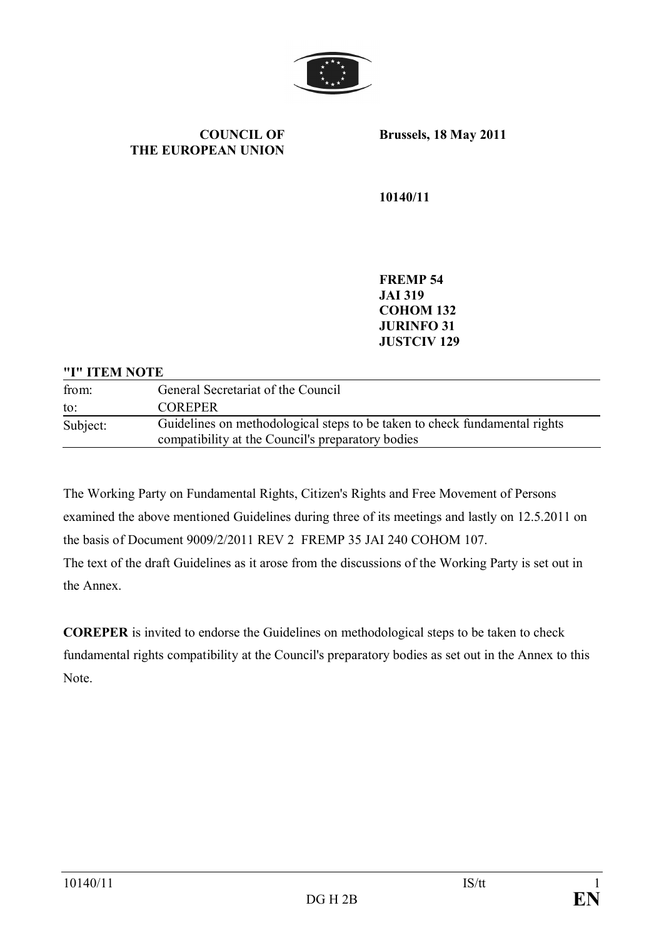

**COUNCIL OF THE EUROPEAN UNION** **Brussels, 18 May 2011**

**10140/11**

**FREMP 54 JAI 319 COHOM 132 JURINFO 31 JUSTCIV 129**

#### **"I" ITEM NOTE**

| from:    | General Secretariat of the Council                                                                                              |
|----------|---------------------------------------------------------------------------------------------------------------------------------|
| to:      | <b>COREPER</b>                                                                                                                  |
| Subject: | Guidelines on methodological steps to be taken to check fundamental rights<br>compatibility at the Council's preparatory bodies |

The Working Party on Fundamental Rights, Citizen's Rights and Free Movement of Persons examined the above mentioned Guidelines during three of its meetings and lastly on 12.5.2011 on the basis of Document 9009/2/2011 REV 2 FREMP 35 JAI 240 COHOM 107.

The text of the draft Guidelines as it arose from the discussions of the Working Party is set out in the Annex.

**COREPER** is invited to endorse the Guidelines on methodological steps to be taken to check fundamental rights compatibility at the Council's preparatory bodies as set out in the Annex to this Note.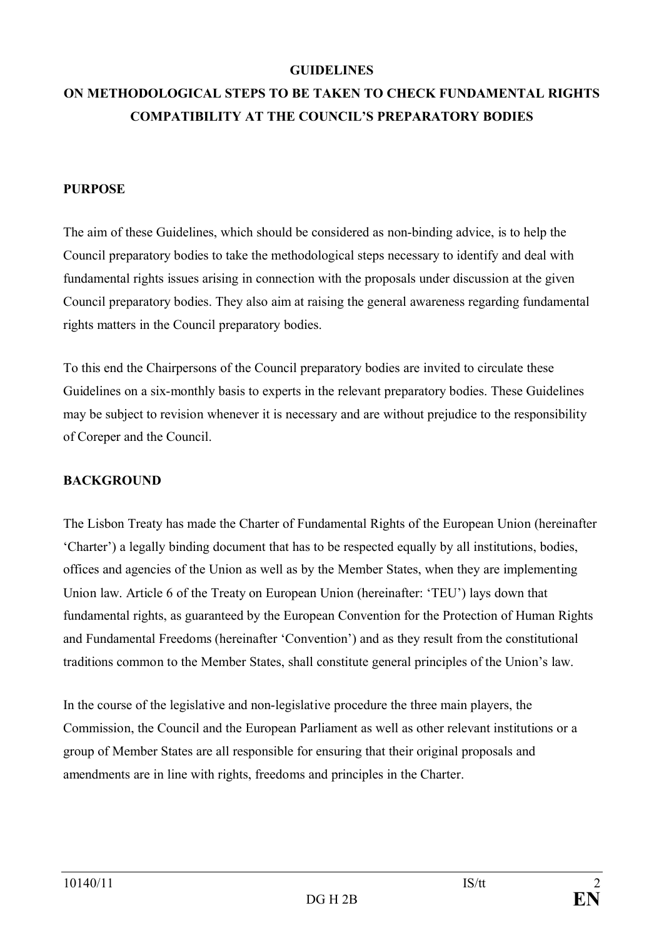#### **GUIDELINES**

# **ON METHODOLOGICAL STEPS TO BE TAKEN TO CHECK FUNDAMENTAL RIGHTS COMPATIBILITY AT THE COUNCIL'S PREPARATORY BODIES**

#### **PURPOSE**

The aim of these Guidelines, which should be considered as non-binding advice, is to help the Council preparatory bodies to take the methodological steps necessary to identify and deal with fundamental rights issues arising in connection with the proposals under discussion at the given Council preparatory bodies. They also aim at raising the general awareness regarding fundamental rights matters in the Council preparatory bodies.

To this end the Chairpersons of the Council preparatory bodies are invited to circulate these Guidelines on a six-monthly basis to experts in the relevant preparatory bodies. These Guidelines may be subject to revision whenever it is necessary and are without prejudice to the responsibility of Coreper and the Council.

#### **BACKGROUND**

The Lisbon Treaty has made the Charter of Fundamental Rights of the European Union (hereinafter 'Charter') a legally binding document that has to be respected equally by all institutions, bodies, offices and agencies of the Union as well as by the Member States, when they are implementing Union law. Article 6 of the Treaty on European Union (hereinafter: 'TEU') lays down that fundamental rights, as guaranteed by the European Convention for the Protection of Human Rights and Fundamental Freedoms (hereinafter 'Convention') and as they result from the constitutional traditions common to the Member States, shall constitute general principles of the Union's law.

In the course of the legislative and non-legislative procedure the three main players, the Commission, the Council and the European Parliament as well as other relevant institutions or a group of Member States are all responsible for ensuring that their original proposals and amendments are in line with rights, freedoms and principles in the Charter.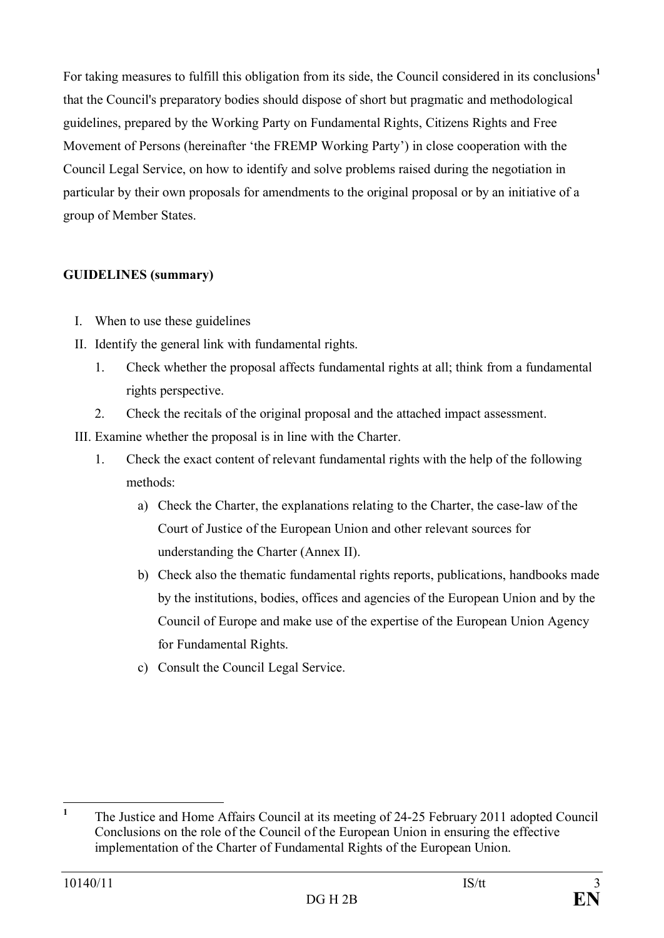For taking measures to fulfill this obligation from its side, the Council considered in its conclusions<sup>1</sup> that the Council's preparatory bodies should dispose of short but pragmatic and methodological guidelines, prepared by the Working Party on Fundamental Rights, Citizens Rights and Free Movement of Persons (hereinafter 'the FREMP Working Party') in close cooperation with the Council Legal Service, on how to identify and solve problems raised during the negotiation in particular by their own proposals for amendments to the original proposal or by an initiative of a group of Member States.

## **GUIDELINES (summary)**

- I. When to use these guidelines
- II. Identify the general link with fundamental rights.
	- 1. Check whether the proposal affects fundamental rights at all; think from a fundamental rights perspective.
	- 2. Check the recitals of the original proposal and the attached impact assessment.
- III. Examine whether the proposal is in line with the Charter.
	- 1. Check the exact content of relevant fundamental rights with the help of the following methods:
		- a) Check the Charter, the explanations relating to the Charter, the case-law of the Court of Justice of the European Union and other relevant sources for understanding the Charter (Annex II).
		- b) Check also the thematic fundamental rights reports, publications, handbooks made by the institutions, bodies, offices and agencies of the European Union and by the Council of Europe and make use of the expertise of the European Union Agency for Fundamental Rights.
		- c) Consult the Council Legal Service.

**<sup>1</sup>** The Justice and Home Affairs Council at its meeting of 24-25 February 2011 adopted Council Conclusions on the role of the Council of the European Union in ensuring the effective implementation of the Charter of Fundamental Rights of the European Union.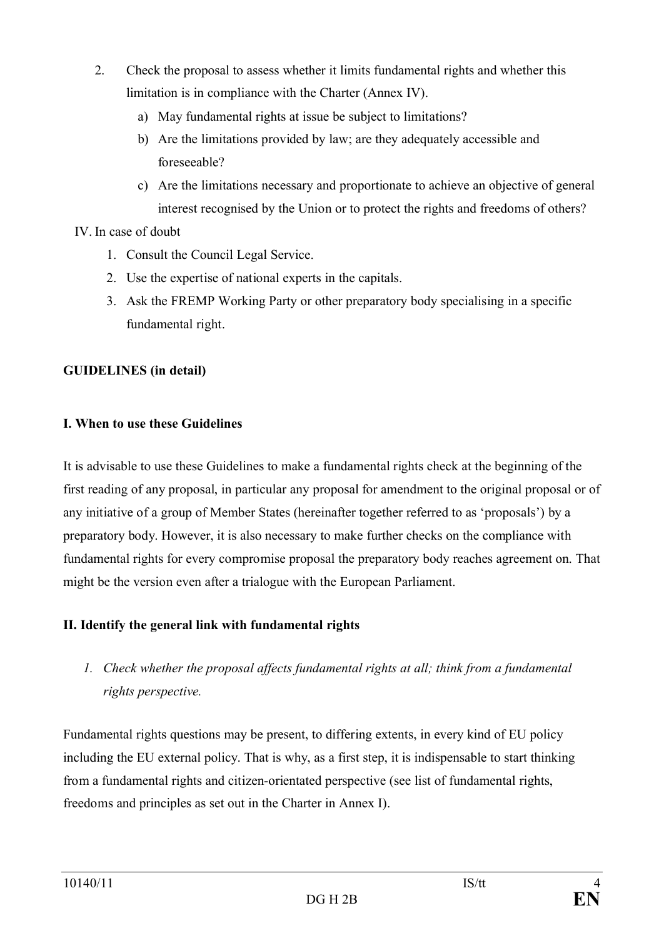- 2. Check the proposal to assess whether it limits fundamental rights and whether this limitation is in compliance with the Charter (Annex IV).
	- a) May fundamental rights at issue be subject to limitations?
	- b) Are the limitations provided by law; are they adequately accessible and foreseeable?
	- c) Are the limitations necessary and proportionate to achieve an objective of general interest recognised by the Union or to protect the rights and freedoms of others?

### IV. In case of doubt

- 1. Consult the Council Legal Service.
- 2. Use the expertise of national experts in the capitals.
- 3. Ask the FREMP Working Party or other preparatory body specialising in a specific fundamental right.

# **GUIDELINES (in detail)**

### **I. When to use these Guidelines**

It is advisable to use these Guidelines to make a fundamental rights check at the beginning of the first reading of any proposal, in particular any proposal for amendment to the original proposal or of any initiative of a group of Member States (hereinafter together referred to as 'proposals') by a preparatory body. However, it is also necessary to make further checks on the compliance with fundamental rights for every compromise proposal the preparatory body reaches agreement on. That might be the version even after a trialogue with the European Parliament.

# **II. Identify the general link with fundamental rights**

*1. Check whether the proposal affects fundamental rights at all; think from a fundamental rights perspective.*

Fundamental rights questions may be present, to differing extents, in every kind of EU policy including the EU external policy. That is why, as a first step, it is indispensable to start thinking from a fundamental rights and citizen-orientated perspective (see list of fundamental rights, freedoms and principles as set out in the Charter in Annex I).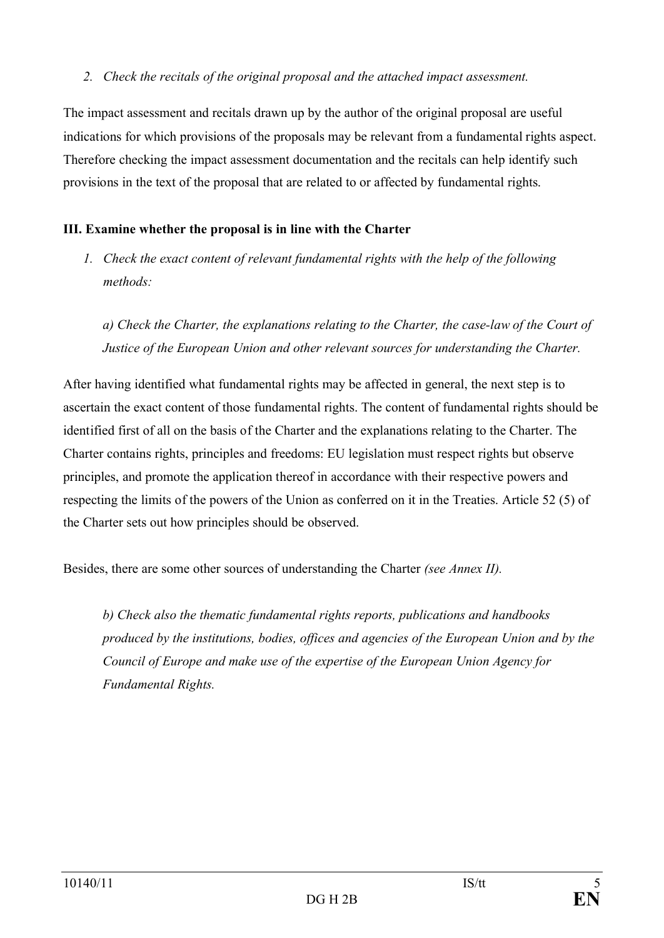#### *2. Check the recitals of the original proposal and the attached impact assessment.*

The impact assessment and recitals drawn up by the author of the original proposal are useful indications for which provisions of the proposals may be relevant from a fundamental rights aspect. Therefore checking the impact assessment documentation and the recitals can help identify such provisions in the text of the proposal that are related to or affected by fundamental rights.

## **III. Examine whether the proposal is in line with the Charter**

*1. Check the exact content of relevant fundamental rights with the help of the following methods:*

*a) Check the Charter, the explanations relating to the Charter, the case-law of the Court of Justice of the European Union and other relevant sources for understanding the Charter.*

After having identified what fundamental rights may be affected in general, the next step is to ascertain the exact content of those fundamental rights. The content of fundamental rights should be identified first of all on the basis of the Charter and the explanations relating to the Charter. The Charter contains rights, principles and freedoms: EU legislation must respect rights but observe principles, and promote the application thereof in accordance with their respective powers and respecting the limits of the powers of the Union as conferred on it in the Treaties. Article 52 (5) of the Charter sets out how principles should be observed.

Besides, there are some other sources of understanding the Charter *(see Annex II).*

*b) Check also the thematic fundamental rights reports, publications and handbooks produced by the institutions, bodies, offices and agencies of the European Union and by the Council of Europe and make use of the expertise of the European Union Agency for Fundamental Rights.*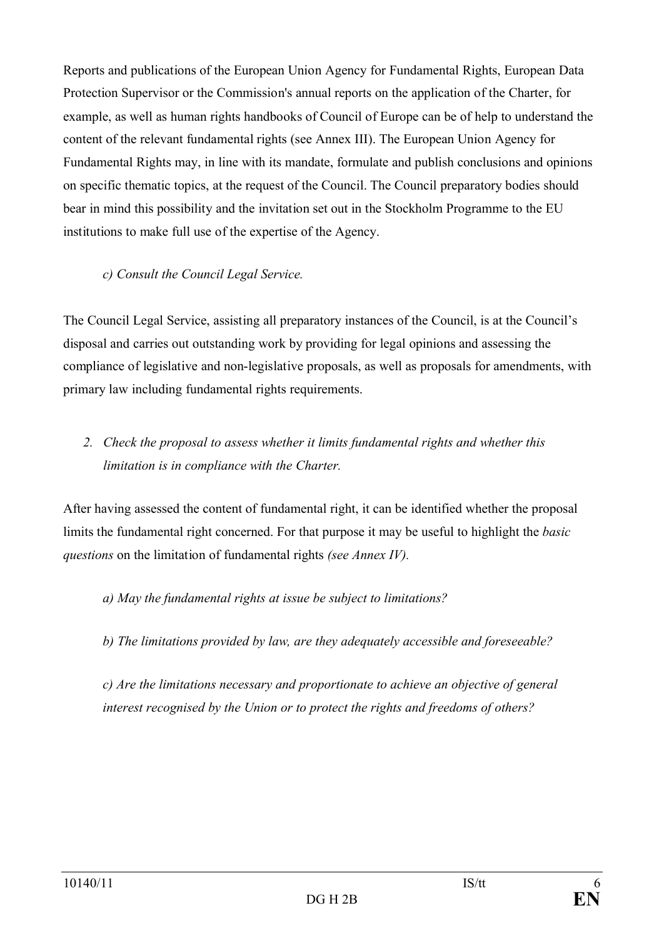Reports and publications of the European Union Agency for Fundamental Rights, European Data Protection Supervisor or the Commission's annual reports on the application of the Charter, for example, as well as human rights handbooks of Council of Europe can be of help to understand the content of the relevant fundamental rights (see Annex III). The European Union Agency for Fundamental Rights may, in line with its mandate, formulate and publish conclusions and opinions on specific thematic topics, at the request of the Council. The Council preparatory bodies should bear in mind this possibility and the invitation set out in the Stockholm Programme to the EU institutions to make full use of the expertise of the Agency.

### *c) Consult the Council Legal Service.*

The Council Legal Service, assisting all preparatory instances of the Council, is at the Council's disposal and carries out outstanding work by providing for legal opinions and assessing the compliance of legislative and non-legislative proposals, as well as proposals for amendments, with primary law including fundamental rights requirements.

# *2. Check the proposal to assess whether it limits fundamental rights and whether this limitation is in compliance with the Charter.*

After having assessed the content of fundamental right, it can be identified whether the proposal limits the fundamental right concerned. For that purpose it may be useful to highlight the *basic questions* on the limitation of fundamental rights *(see Annex IV).*

# *a) May the fundamental rights at issue be subject to limitations?*

*b) The limitations provided by law, are they adequately accessible and foreseeable?*

*c) Are the limitations necessary and proportionate to achieve an objective of general interest recognised by the Union or to protect the rights and freedoms of others?*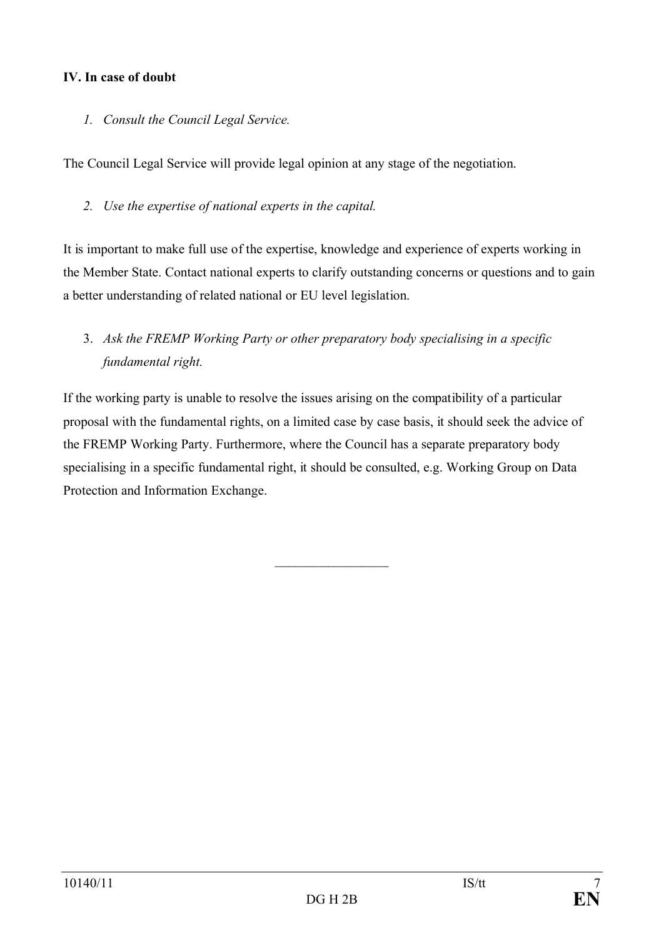### **IV. In case of doubt**

*1. Consult the Council Legal Service.*

The Council Legal Service will provide legal opinion at any stage of the negotiation.

*2. Use the expertise of national experts in the capital.*

It is important to make full use of the expertise, knowledge and experience of experts working in the Member State. Contact national experts to clarify outstanding concerns or questions and to gain a better understanding of related national or EU level legislation.

# 3. *Ask the FREMP Working Party or other preparatory body specialising in a specific fundamental right.*

If the working party is unable to resolve the issues arising on the compatibility of a particular proposal with the fundamental rights, on a limited case by case basis, it should seek the advice of the FREMP Working Party. Furthermore, where the Council has a separate preparatory body specialising in a specific fundamental right, it should be consulted, e.g. Working Group on Data Protection and Information Exchange.

 $\overline{\phantom{a}}$  , where  $\overline{\phantom{a}}$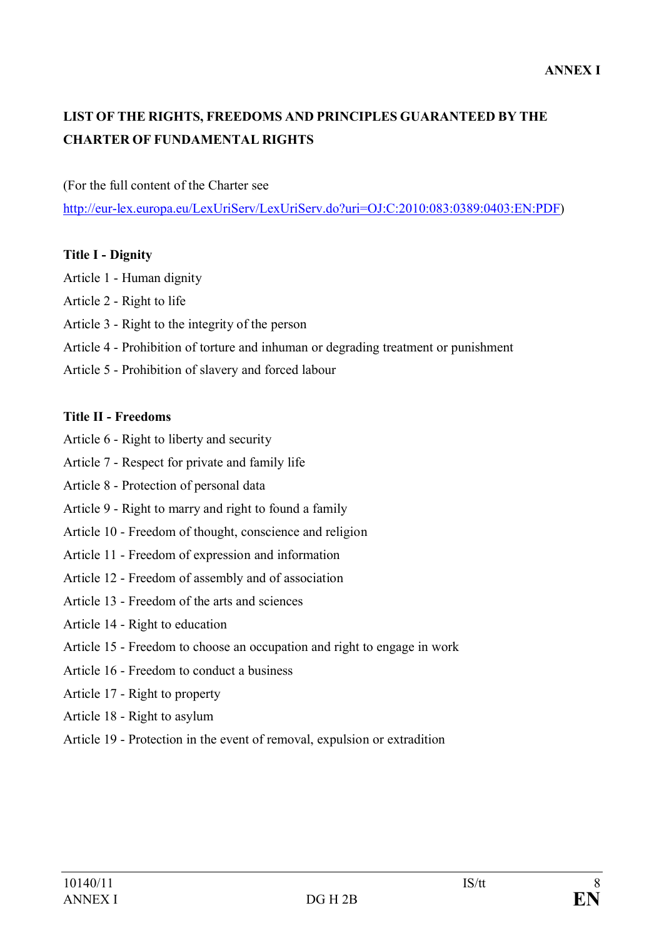# **LIST OF THE RIGHTS, FREEDOMS AND PRINCIPLES GUARANTEED BY THE CHARTER OF FUNDAMENTAL RIGHTS**

(For the full content of the Charter see

http://eur-lex.europa.eu/LexUriServ/LexUriServ.do?uri=OJ:C:2010:083:0389:0403:EN:PDF)

#### **Title I - Dignity**

- Article 1 Human dignity
- Article 2 Right to life
- Article 3 Right to the integrity of the person
- Article 4 Prohibition of torture and inhuman or degrading treatment or punishment
- Article 5 Prohibition of slavery and forced labour

#### **Title II - Freedoms**

- Article 6 Right to liberty and security
- Article 7 Respect for private and family life
- Article 8 Protection of personal data
- Article 9 Right to marry and right to found a family
- Article 10 Freedom of thought, conscience and religion
- Article 11 Freedom of expression and information
- Article 12 Freedom of assembly and of association
- Article 13 Freedom of the arts and sciences
- Article 14 Right to education
- Article 15 Freedom to choose an occupation and right to engage in work
- Article 16 Freedom to conduct a business
- Article 17 Right to property
- Article 18 Right to asylum
- Article 19 Protection in the event of removal, expulsion or extradition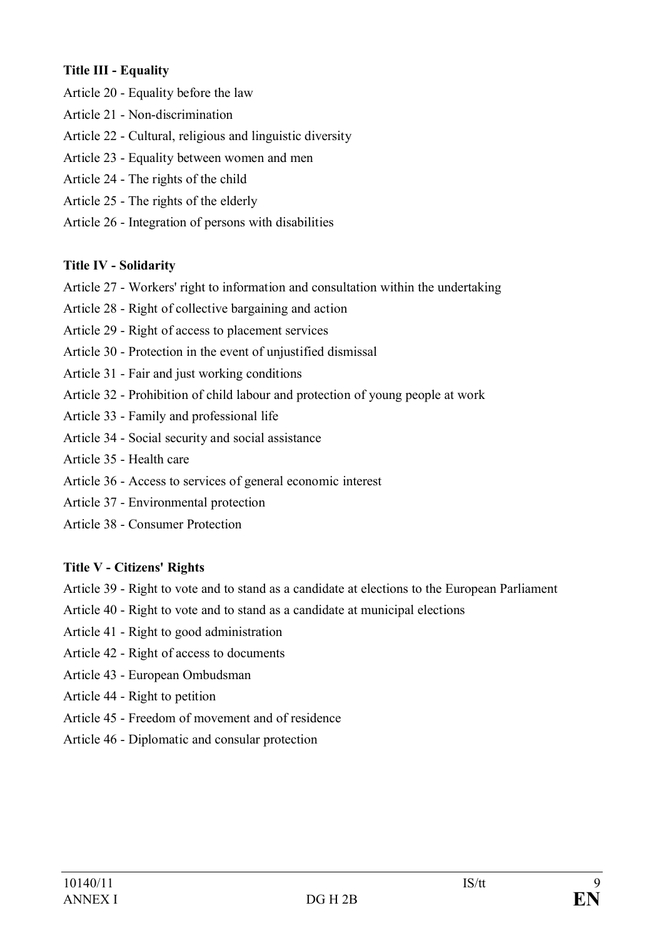### **Title III - Equality**

- Article 20 Equality before the law
- Article 21 Non-discrimination
- Article 22 Cultural, religious and linguistic diversity
- Article 23 Equality between women and men
- Article 24 The rights of the child
- Article 25 The rights of the elderly
- Article 26 Integration of persons with disabilities

### **Title IV - Solidarity**

- Article 27 Workers' right to information and consultation within the undertaking
- Article 28 Right of collective bargaining and action
- Article 29 Right of access to placement services
- Article 30 Protection in the event of unjustified dismissal
- Article 31 Fair and just working conditions
- Article 32 Prohibition of child labour and protection of young people at work
- Article 33 Family and professional life
- Article 34 Social security and social assistance
- Article 35 Health care
- Article 36 Access to services of general economic interest
- Article 37 Environmental protection
- Article 38 Consumer Protection

### **Title V - Citizens' Rights**

- Article 39 Right to vote and to stand as a candidate at elections to the European Parliament
- Article 40 Right to vote and to stand as a candidate at municipal elections
- Article 41 Right to good administration
- Article 42 Right of access to documents
- Article 43 European Ombudsman
- Article 44 Right to petition
- Article 45 Freedom of movement and of residence
- Article 46 Diplomatic and consular protection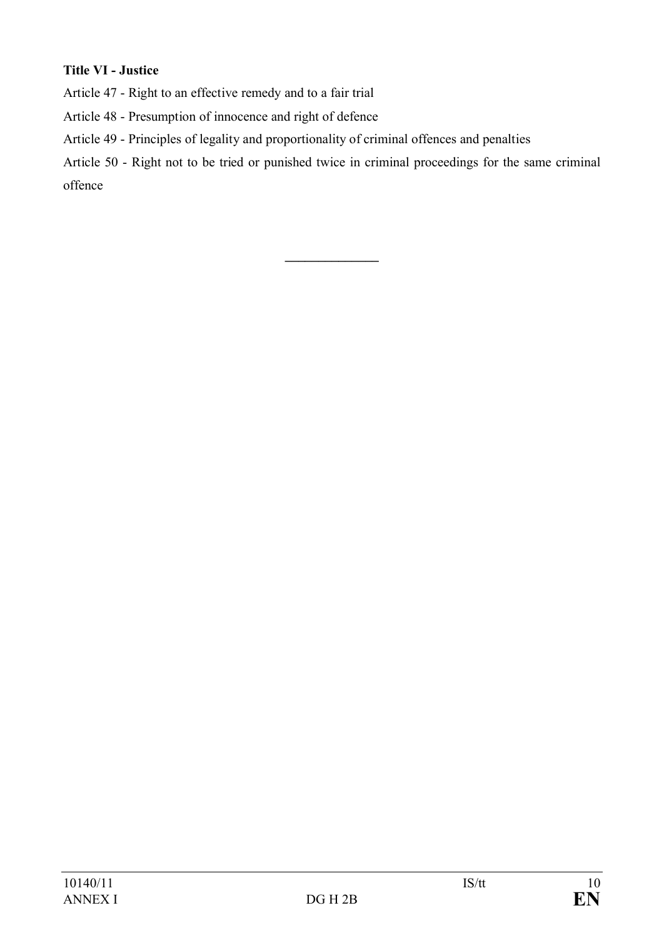# **Title VI - Justice**

Article 47 - Right to an effective remedy and to a fair trial

Article 48 - Presumption of innocence and right of defence

Article 49 - Principles of legality and proportionality of criminal offences and penalties

Article 50 - Right not to be tried or punished twice in criminal proceedings for the same criminal offence

**\_\_\_\_\_\_\_\_\_\_\_\_\_\_**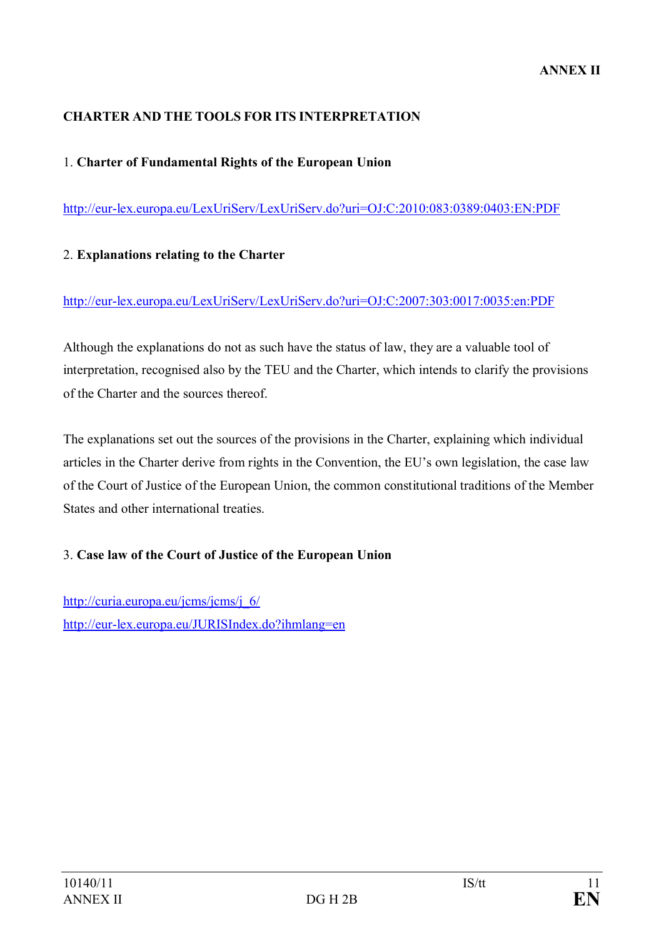#### **CHARTER AND THE TOOLS FOR ITS INTERPRETATION**

#### 1. **Charter of Fundamental Rights of the European Union**

http://eur-lex.europa.eu/LexUriServ/LexUriServ.do?uri=OJ:C:2010:083:0389:0403:EN:PDF

#### 2. **Explanations relating to the Charter**

#### http://eur-lex.europa.eu/LexUriServ/LexUriServ.do?uri=OJ:C:2007:303:0017:0035:en:PDF

Although the explanations do not as such have the status of law, they are a valuable tool of interpretation, recognised also by the TEU and the Charter, which intends to clarify the provisions of the Charter and the sources thereof.

The explanations set out the sources of the provisions in the Charter, explaining which individual articles in the Charter derive from rights in the Convention, the EU's own legislation, the case law of the Court of Justice of the European Union, the common constitutional traditions of the Member States and other international treaties.

#### 3. **Case law of the Court of Justice of the European Union**

http://curia.europa.eu/jcms/jcms/j\_6/ http://eur-lex.europa.eu/JURISIndex.do?ihmlang=en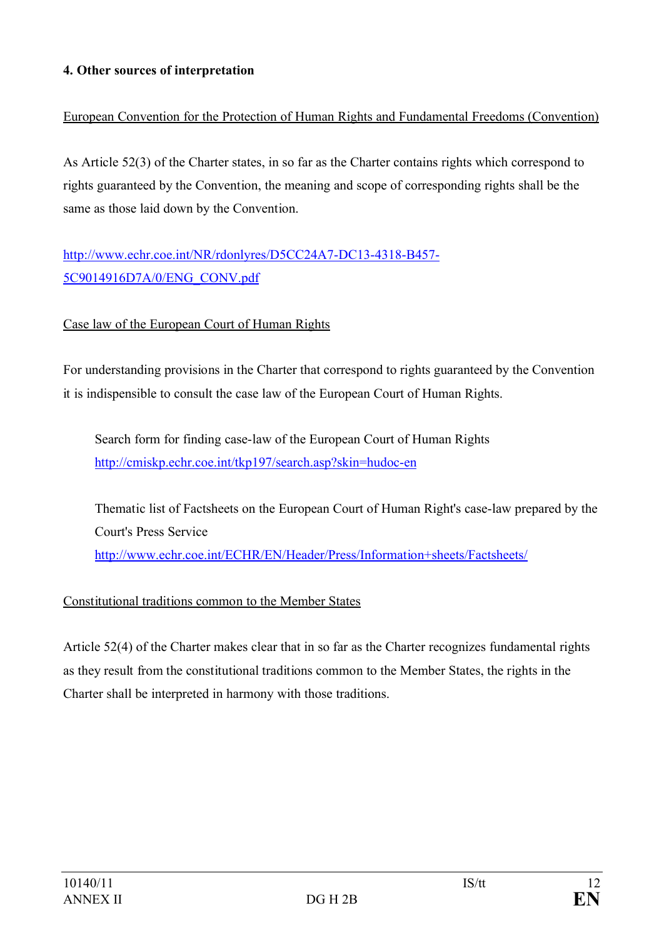### **4. Other sources of interpretation**

# European Convention for the Protection of Human Rights and Fundamental Freedoms (Convention)

As Article 52(3) of the Charter states, in so far as the Charter contains rights which correspond to rights guaranteed by the Convention, the meaning and scope of corresponding rights shall be the same as those laid down by the Convention.

# http://www.echr.coe.int/NR/rdonlyres/D5CC24A7-DC13-4318-B457- 5C9014916D7A/0/ENG\_CONV.pdf

### Case law of the European Court of Human Rights

For understanding provisions in the Charter that correspond to rights guaranteed by the Convention it is indispensible to consult the case law of the European Court of Human Rights.

Search form for finding case-law of the European Court of Human Rights http://cmiskp.echr.coe.int/tkp197/search.asp?skin=hudoc-en

Thematic list of Factsheets on the European Court of Human Right's case-law prepared by the Court's Press Service http://www.echr.coe.int/ECHR/EN/Header/Press/Information+sheets/Factsheets/

### Constitutional traditions common to the Member States

Article 52(4) of the Charter makes clear that in so far as the Charter recognizes fundamental rights as they result from the constitutional traditions common to the Member States, the rights in the Charter shall be interpreted in harmony with those traditions.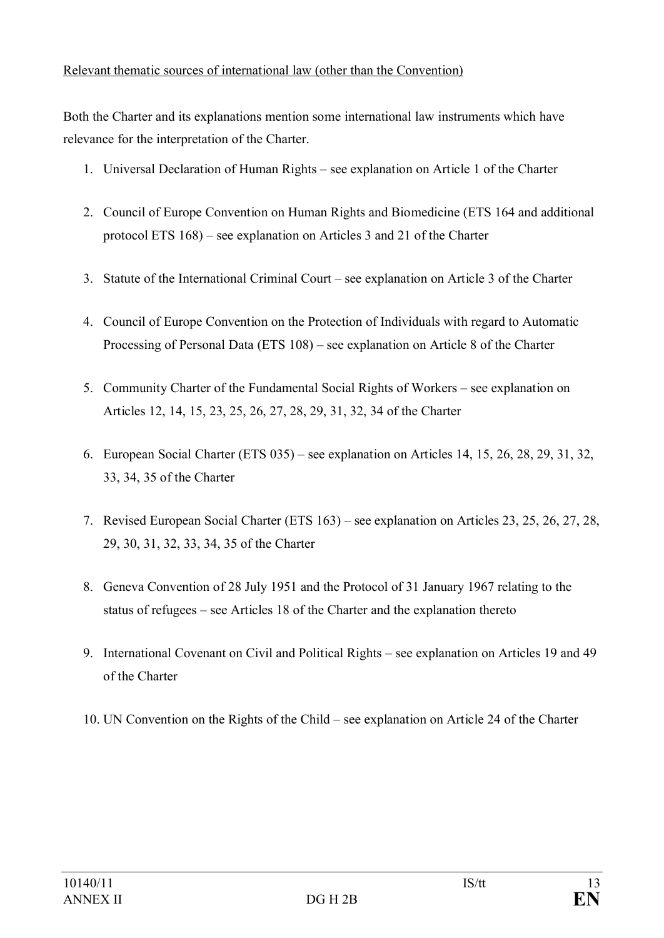### Relevant thematic sources of international law (other than the Convention)

Both the Charter and its explanations mention some international law instruments which have relevance for the interpretation of the Charter.

- 1. Universal Declaration of Human Rights see explanation on Article 1 of the Charter
- 2. Council of Europe Convention on Human Rights and Biomedicine (ETS 164 and additional protocol ETS 168) – see explanation on Articles 3 and 21 of the Charter
- 3. Statute of the International Criminal Court see explanation on Article 3 of the Charter
- 4. Council of Europe Convention on the Protection of Individuals with regard to Automatic Processing of Personal Data (ETS 108) – see explanation on Article 8 of the Charter
- 5. Community Charter of the Fundamental Social Rights of Workers see explanation on Articles 12, 14, 15, 23, 25, 26, 27, 28, 29, 31, 32, 34 of the Charter
- 6. European Social Charter (ETS 035) see explanation on Articles 14, 15, 26, 28, 29, 31, 32, 33, 34, 35 of the Charter
- 7. Revised European Social Charter (ETS 163) see explanation on Articles 23, 25, 26, 27, 28, 29, 30, 31, 32, 33, 34, 35 of the Charter
- 8. Geneva Convention of 28 July 1951 and the Protocol of 31 January 1967 relating to the status of refugees – see Articles 18 of the Charter and the explanation thereto
- 9. International Covenant on Civil and Political Rights see explanation on Articles 19 and 49 of the Charter
- 10. UN Convention on the Rights of the Child see explanation on Article 24 of the Charter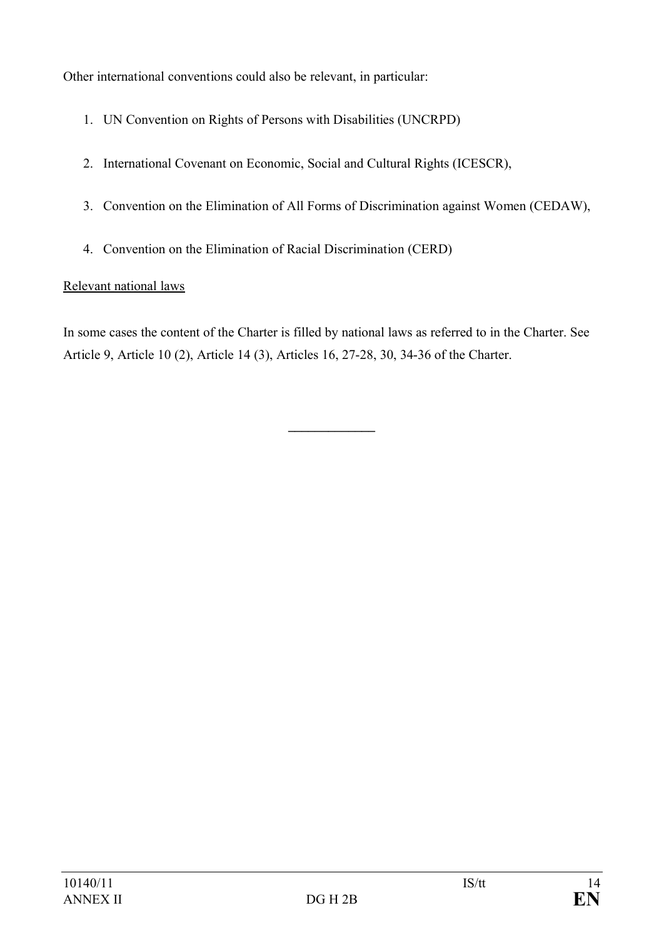Other international conventions could also be relevant, in particular:

- 1. UN Convention on Rights of Persons with Disabilities (UNCRPD)
- 2. International Covenant on Economic, Social and Cultural Rights (ICESCR),
- 3. Convention on the Elimination of All Forms of Discrimination against Women (CEDAW),
- 4. Convention on the Elimination of Racial Discrimination (CERD)

# Relevant national laws

In some cases the content of the Charter is filled by national laws as referred to in the Charter. See Article 9, Article 10 (2), Article 14 (3), Articles 16, 27-28, 30, 34-36 of the Charter.

**\_\_\_\_\_\_\_\_\_\_\_\_\_**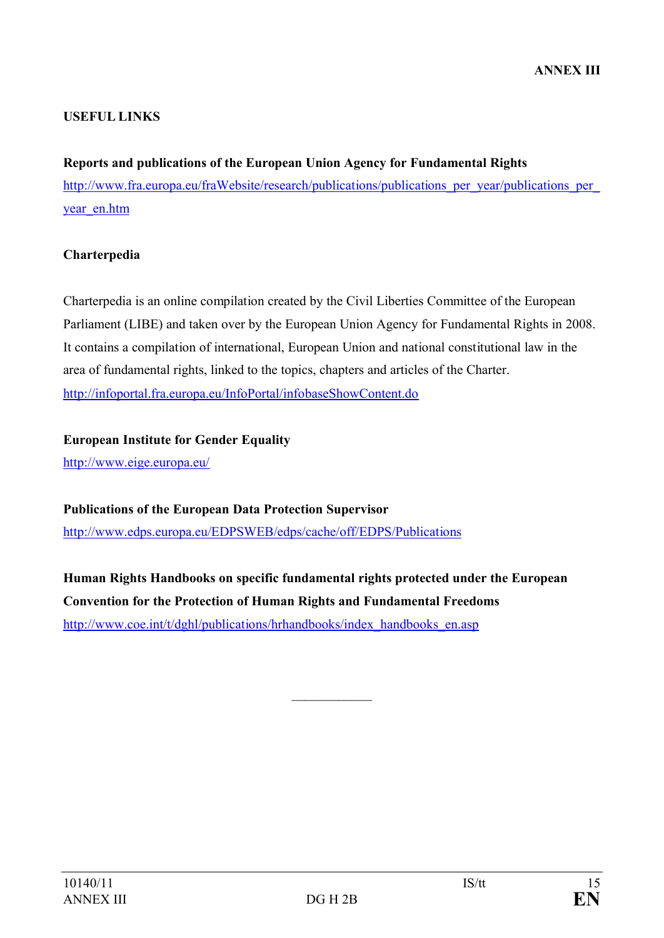## **USEFUL LINKS**

**Reports and publications of the European Union Agency for Fundamental Rights** http://www.fra.europa.eu/fraWebsite/research/publications/publications\_per\_year/publications\_per\_ year en.htm

### **Charterpedia**

Charterpedia is an online compilation created by the Civil Liberties Committee of the European Parliament (LIBE) and taken over by the European Union Agency for Fundamental Rights in 2008. It contains a compilation of international, European Union and national constitutional law in the area of fundamental rights, linked to the topics, chapters and articles of the Charter. http://infoportal.fra.europa.eu/InfoPortal/infobaseShowContent.do

**European Institute for Gender Equality** http://www.eige.europa.eu/

**Publications of the European Data Protection Supervisor** http://www.edps.europa.eu/EDPSWEB/edps/cache/off/EDPS/Publications

**Human Rights Handbooks on specific fundamental rights protected under the European Convention for the Protection of Human Rights and Fundamental Freedoms** http://www.coe.int/t/dghl/publications/hrhandbooks/index\_handbooks\_en.asp

 $\frac{1}{2}$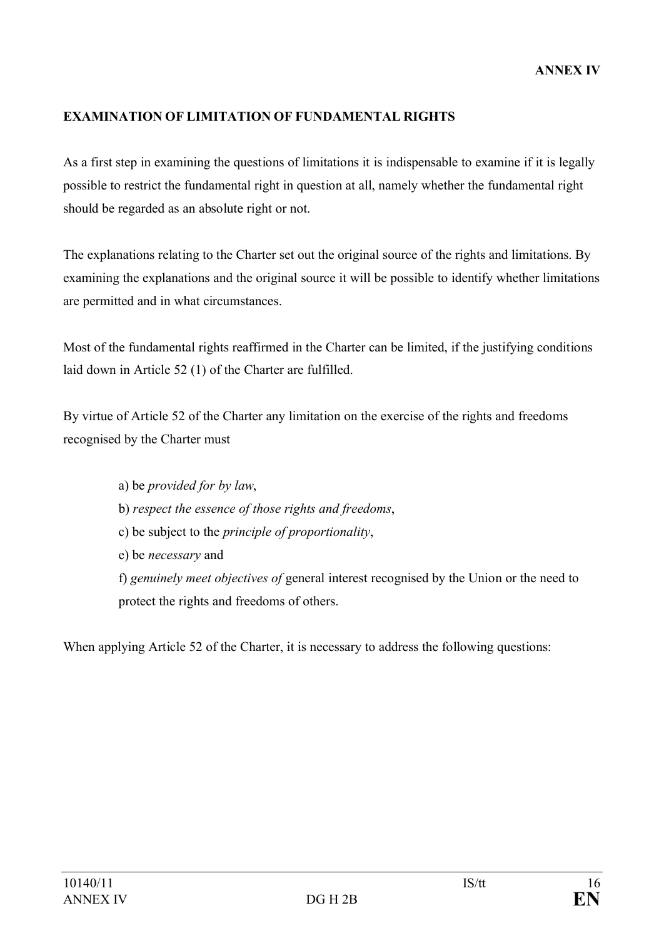## **EXAMINATION OF LIMITATION OF FUNDAMENTAL RIGHTS**

As a first step in examining the questions of limitations it is indispensable to examine if it is legally possible to restrict the fundamental right in question at all, namely whether the fundamental right should be regarded as an absolute right or not.

The explanations relating to the Charter set out the original source of the rights and limitations. By examining the explanations and the original source it will be possible to identify whether limitations are permitted and in what circumstances.

Most of the fundamental rights reaffirmed in the Charter can be limited, if the justifying conditions laid down in Article 52 (1) of the Charter are fulfilled.

By virtue of Article 52 of the Charter any limitation on the exercise of the rights and freedoms recognised by the Charter must

> a) be *provided for by law*, b) *respect the essence of those rights and freedoms*, c) be subject to the *principle of proportionality*, e) be *necessary* and f) *genuinely meet objectives of* general interest recognised by the Union or the need to protect the rights and freedoms of others.

When applying Article 52 of the Charter, it is necessary to address the following questions: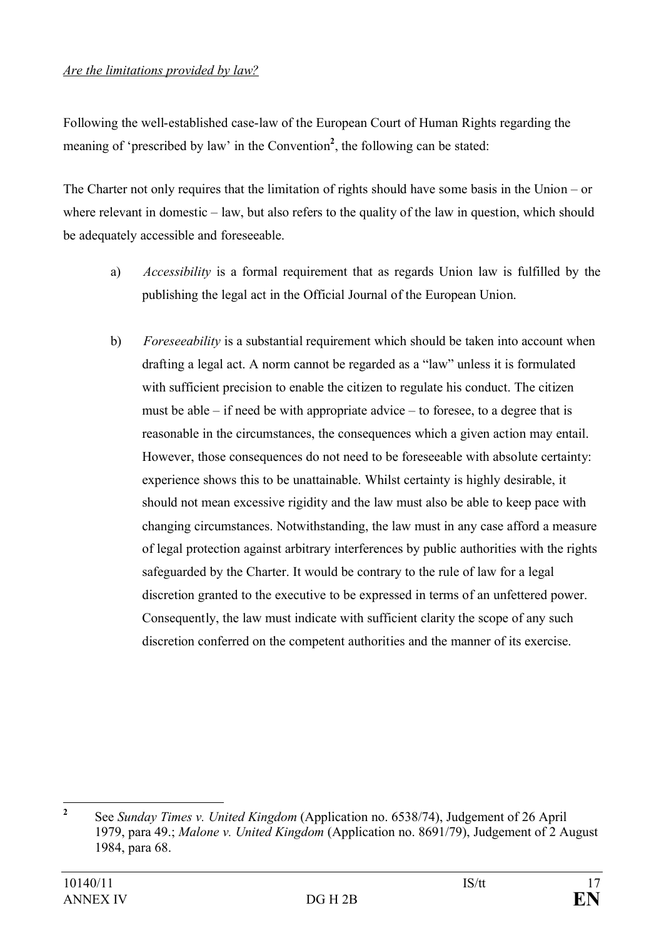#### *Are the limitations provided by law?*

Following the well-established case-law of the European Court of Human Rights regarding the meaning of 'prescribed by law' in the Convention<sup>2</sup>, the following can be stated:

The Charter not only requires that the limitation of rights should have some basis in the Union – or where relevant in domestic – law, but also refers to the quality of the law in question, which should be adequately accessible and foreseeable.

- a) *Accessibility* is a formal requirement that as regards Union law is fulfilled by the publishing the legal act in the Official Journal of the European Union.
- b) *Foreseeability* is a substantial requirement which should be taken into account when drafting a legal act. A norm cannot be regarded as a "law" unless it is formulated with sufficient precision to enable the citizen to regulate his conduct. The citizen must be able  $-$  if need be with appropriate advice  $-$  to foresee, to a degree that is reasonable in the circumstances, the consequences which a given action may entail. However, those consequences do not need to be foreseeable with absolute certainty: experience shows this to be unattainable. Whilst certainty is highly desirable, it should not mean excessive rigidity and the law must also be able to keep pace with changing circumstances. Notwithstanding, the law must in any case afford a measure of legal protection against arbitrary interferences by public authorities with the rights safeguarded by the Charter. It would be contrary to the rule of law for a legal discretion granted to the executive to be expressed in terms of an unfettered power. Consequently, the law must indicate with sufficient clarity the scope of any such discretion conferred on the competent authorities and the manner of its exercise.

**<sup>2</sup>** See *Sunday Times v. United Kingdom* (Application no. 6538/74), Judgement of 26 April 1979, para 49.; *Malone v. United Kingdom* (Application no. 8691/79), Judgement of 2 August 1984, para 68.